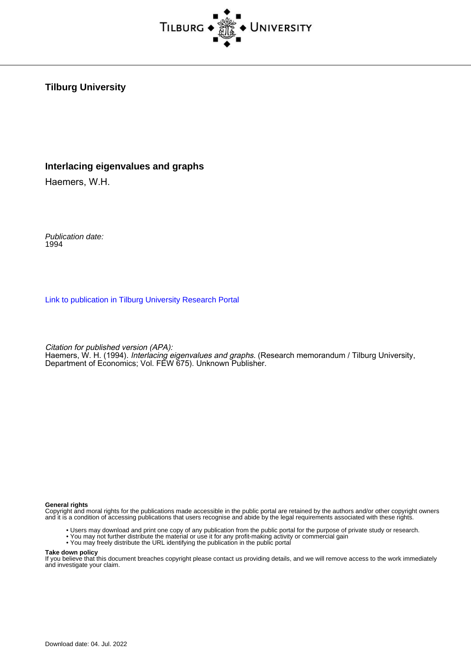

#### **Tilburg University**

#### **Interlacing eigenvalues and graphs**

Haemers, W.H.

Publication date: 1994

[Link to publication in Tilburg University Research Portal](https://research.tilburguniversity.edu/en/publications/8fe72c7b-43cc-455a-a229-1833455b7746)

Citation for published version (APA):

Haemers, W. H. (1994). *Interlacing eigenvalues and graphs*. (Research memorandum / Tilburg University, Department of Economics; Vol. FEW 675). Unknown Publisher.

#### **General rights**

Copyright and moral rights for the publications made accessible in the public portal are retained by the authors and/or other copyright owners and it is a condition of accessing publications that users recognise and abide by the legal requirements associated with these rights.

- Users may download and print one copy of any publication from the public portal for the purpose of private study or research.
- You may not further distribute the material or use it for any profit-making activity or commercial gain
- You may freely distribute the URL identifying the publication in the public portal

#### **Take down policy**

If you believe that this document breaches copyright please contact us providing details, and we will remove access to the work immediately and investigate your claim.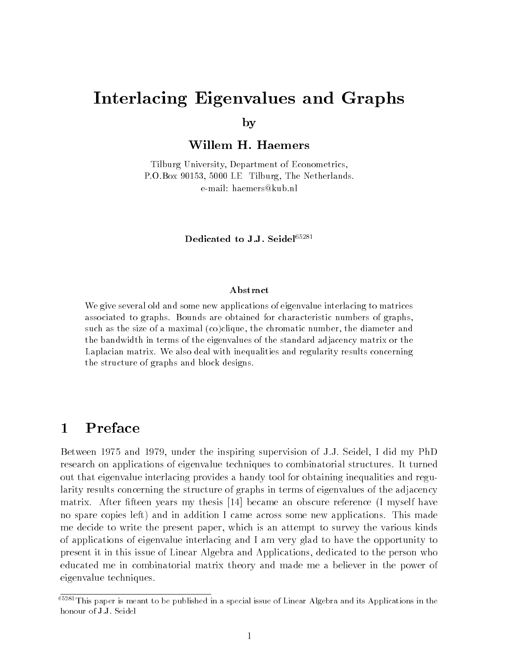# Interlacing Eigenvalues and Graphs

by

Willem H. Haemers

Tilburg University, Department of Econometrics, P.O.Box 90153, 5000 LE Tilburg, The Netherlands. e-mail: haemers@kub.nl

Dedicated to J.J. Seidel<sup>65281</sup>

#### Abstract

We give several old and some new applications of eigenvalue interlacing to matrices associated to graphs. Bounds are obtained for characteristic numbers of graphs, such as the size of a maximal (co)clique, the chromatic number, the diameter and the bandwidth in terms of the eigenvalues of the standard adjacency matrix or the Laplacian matrix. We also deal with inequalities and regularity results concerning the structure of graphs and block designs.

# $\mathbf{1}$

Between 1975 and 1979, under the inspiring supervision of J.J. Seidel, I did my PhD research on applications of eigenvalue techniques to combinatorial structures. It turned out that eigenvalue interlacing provides a handy tool for obtaining inequalities and regularity results concerning the structure of graphs in terms of eigenvalues of the adjacency matrix. After fteen years my thesis [14] became an obscure reference (I myself have no spare copies left) and in addition I came across some new applications. This made me decide to write the present paper, which is an attempt to survey the various kinds of applications of eigenvalue interlacing and I am very glad to have the opportunity to present it in this issue of Linear Algebra and Applications, dedicated to the person who educated me in combinatorial matrix theory and made me a believer in the power of eigenvalue techniques.

<sup>&</sup>lt;sup>65281</sup>This paper is meant to be published in a special issue of Linear Algebra and its Applications in the honour of J.J. Seidel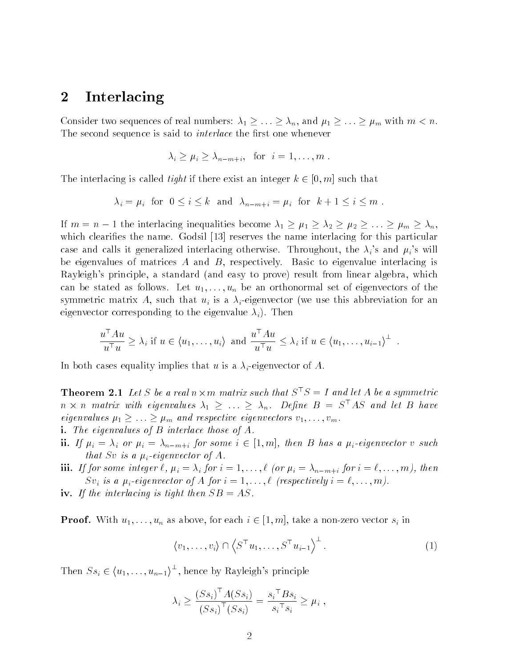# <sup>2</sup> Interlacing

Consider two sequences of real numbers:  $\lambda_1 \geq \ldots \geq \lambda_n$ , and  $\mu_1 \geq \ldots \geq \mu_m$  with  $m < n$ . The second sequence is said to *interlace* the first one whenever

$$
\lambda_i \geq \mu_i \geq \lambda_{n-m+i}, \text{ for } i=1,\ldots,m .
$$

The interlacing is called *tight* if there exist an integer  $k \in [0, m]$  such that

$$
\lambda_i = \mu_i
$$
 for  $0 \le i \le k$  and  $\lambda_{n-m+i} = \mu_i$  for  $k+1 \le i \le m$ .

If  $m = n - 1$  the interlacing inequalities become  $\lambda_1 \geq \mu_1 \geq \lambda_2 \geq \mu_2 \geq \ldots \geq \mu_m \geq \lambda_n$ , which clearifies the name. Godsil [13] reserves the name interlacing for this particular case and calls it generalized interlacing otherwise. Throughout, the  $\lambda_i$ 's and  $\mu_i$ 's will be eigenvalues of matrices  $A$  and  $B$ , respectively. Basic to eigenvalue interlacing is Rayleigh's principle, a standard (and easy to prove) result from linear algebra, which can be stated as follows. Let  $u_1, \ldots, u_n$  be an orthonormal set of eigenvectors of the symmetric matrix A, such that  $u_i$  is a  $\lambda_i$ -eigenvector (we use this abbreviation for an eigenvector corresponding to the eigenvalue  $\lambda_i$ ). Then

$$
\frac{u^{\top} A u}{u^{\top} u} \geq \lambda_i \text{ if } u \in \langle u_1, \dots, u_i \rangle \text{ and } \frac{u^{\top} A u}{u^{\top} u} \leq \lambda_i \text{ if } u \in \langle u_1, \dots, u_{i-1} \rangle^{\perp} .
$$

In both cases equality implies that u is a  $\lambda_i$ -eigenvector of A.

**Theorem 2.1** Let S be a real  $n \times m$  matrix such that  $S \supseteq I$  and let A be a symmetric n  $\times$  n matrix with eigenvalues  $\lambda_1$   $\geq$   $\ldots$   $\geq$   $\lambda_n.$  Define  $B$   $\equiv$   $S$  As and let  $B$  have eigenvalues  $\mu_1 \geq \ldots \geq \mu_m$  and respective eigenvectors  $v_1, \ldots, v_m$ .

- i. The eigenvalues of <sup>B</sup> interlace those of A.
- ii. If  $\mu_i = \lambda_i$  or  $\mu_i = \lambda_{n-m+i}$  for some  $i \in [1, m]$ , then B has a  $\mu_i$ -eigenvector v such that Sv is a  $\mu_i$ -eigenvector of A.
- iii. If for some integer  $\ell, \mu_i = \lambda_i$  for  $i = 1, \ldots, \ell$  (or  $\mu_i = \lambda_{n-m+i}$  for  $i = \ell, \ldots, m$ ), then  $Sv_i$  is a  $\mu_i$ -eigenvector of A for  $i = 1, \ldots, \ell$  (respectively  $i = \ell, \ldots, m$ ).
- iv. If the interlacing is tight then  $SB = AS$ .

**Proof.** With  $u_1, \ldots, u_n$  as above, for each  $i \in [1, m]$ , take a non-zero vector  $s_i$  in

$$
\langle v_1, \ldots, v_i \rangle \cap \langle S^{\top} u_1, \ldots, S^{\top} u_{i-1} \rangle^{\perp}.
$$
 (1)

Then  $S_{s_i} \in \langle u_1, \ldots, u_{n-1} \rangle^{\perp}$ , hence by Rayleigh's principle

$$
\lambda_i \ge \frac{(S s_i)^{\top} A(S s_i)}{(S s_i)^{\top} (S s_i)} = \frac{s_i^{\top} B s_i}{s_i^{\top} s_i} \ge \mu_i ,
$$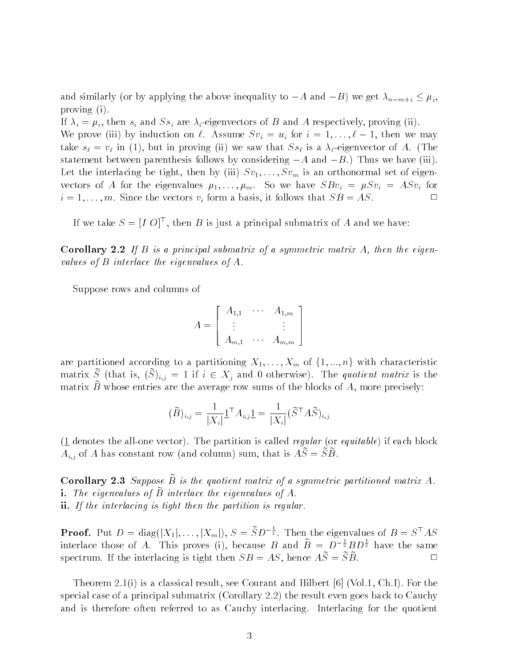and similarly (or by applying the above inequality to  $-A$  and  $-B$ ) we get  $\lambda_{n-m+i} \leq \mu_i$ , proving (i).

If  $\lambda_i = \mu_i$ , then  $s_i$  and  $Ss_i$  are  $\lambda_i$ -eigenvectors of B and A respectively, proving (ii). We prove (iii) by induction on  $\ell$ . Assume  $Sv_i = u_i$  for  $i = 1, \ldots, \ell - 1$ , then we may  $\alpha$  is a  $\alpha$  -eigenvector of  $\alpha$  in proving (ii) we saw that  $\alpha$  is a  $\alpha$  -eigenvector of  $\alpha$  . (The statement between parenthesis follows by considering  $-A$  and  $-B$ .) Thus we have (iii). Let the interlacing be tight, then by (iii)  $Sv_1, \ldots, Sv_m$  is an orthonormal set of eigenvectors of A for the eigenvalues  $\mu_1, \ldots, \mu_m$ . So we have  $SBv_i = \mu Sv_i = ASv_i$  for  $i = 1, \ldots, m$ . Since the vectors  $v_i$  form a basis, it follows that  $SB = AS$ .

If we take  $S = [IO]^\top$ , then B is just a principal submatrix of A and we have:

**Corollary 2.2** If  $B$  is a principal submatrix of a symmetric matrix  $A$ , then the eigenvalues of <sup>B</sup> interlace the eigenvalues of A.

Suppose rows and columns of

$$
A = \left[ \begin{array}{ccc} A_{1,1} & \cdots & A_{1,m} \\ \vdots & & \vdots \\ A_{m,1} & \cdots & A_{m,m} \end{array} \right]
$$

are partitioned according to a partitioning  $X_1, \ldots, X_m$  of  $\{1, ..., n\}$  with characteristic matrix  $\tilde{S}$  (that is,  $(\tilde{S})_{i,j} = 1$  if  $i \in X_j$  and 0 otherwise). The quotient matrix is the matrix  $B$  whose entries are the average row sums of the blocks of  $A$ , more precisely:

$$
(\widetilde{B})_{i,j} = \frac{1}{|X_i|} \mathbf{1}^\top A_{i,j} \mathbf{1} = \frac{1}{|X_i|} (\widetilde{S}^\top A \widetilde{S})_{i,j}
$$

 $(1$  denotes the all-one vector). The partition is called *regular* (or *equitable*) if each block  $A_{i,j}$  of A has constant row (and column) sum, that is  $A\widetilde{S} = \widetilde{S}\widetilde{B}$ .

Corollary 2.3 Suppose  $\widetilde{B}$  is the quotient matrix of a symmetric partitioned matrix A. i. The eigenvalues of  $\tilde{B}$  interlace the eigenvalues of A. ii. If the interlacing is tight then the partition is regular.

**Proof.** Put  $D = \text{diag}(|X_1|, \ldots, |X_m|)$ ,  $S = SD^{-\frac{1}{2}}$ . Then the eigenvalues of  $B = S^TAS$ interlace those of A. This proves (i), because B and  $B = D^{-\frac{1}{2}}BD^{\frac{1}{2}}$  have the same spectrum. If the interlacing is tight then  $SB = AS$ , hence  $\widetilde{AS} = \widetilde{S}\widetilde{B}$ .

Theorem 2.1(i) is a classical result, see Courant and Hilbert  $[6]$  (Vol.1, Ch.I). For the special case of a principal submatrix (Corollary 2.2) the result even goes back to Cauchy and is therefore often referred to as Cauchy interlacing. Interlacing for the quotient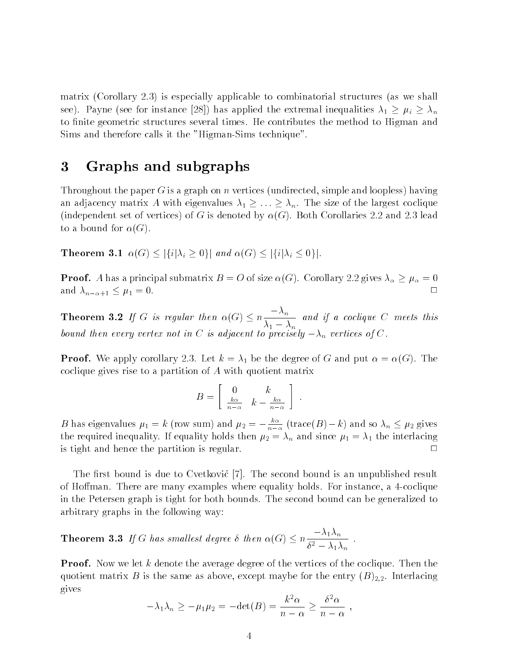matrix (Corollary 2.3) is especially applicable to combinatorial structures (as we shall see). Payne (see for instance [28]) has applied the extremal inequalities  $\lambda_1 \geq \mu_i \geq \lambda_n$ to finite geometric structures several times. He contributes the method to Higman and Sims and therefore calls it the "Higman-Sims technique".

# <sup>3</sup> Graphs and subgraphs

Throughout the paper G is a graph on n vertices (undirected, simple and loopless) having an adjacency matrix A with eigenvalues  $\lambda_1 \geq \ldots \geq \lambda_n$ . The size of the largest coclique (independent set of vertices) of G is denoted by  $\alpha(G)$ . Both Corollaries 2.2 and 2.3 lead to a bound for  $\alpha(G)$ .

**Theorem 3.1**  $\alpha(G) \leq |\{i|\lambda_i \geq 0\}|$  and  $\alpha(G) \leq |\{i|\lambda_i \leq 0\}|$ .

**Proof.** A has a principal submatrix  $B = O$  of size  $\alpha(G)$ . Corollary 2.2 gives  $\lambda_{\alpha} \geq \mu_{\alpha} = 0$ and  $\lambda_{n-\alpha+1} \leq \mu_1 = 0$ .  $\Box$ 

**Theorem 3.2** If G is regular then  $\alpha(G) \le n \frac{n}{\lambda_1 - \lambda_n}$  and if a coclique C meets this bound then every vertex not in C is adjacent to precisely  $-\lambda_n$  vertices of C.

**Proof.** We apply corollary 2.3. Let  $k = \lambda_1$  be the degree of G and put  $\alpha = \alpha(G)$ . The coclique gives rise to a partition of <sup>A</sup> with quotient matrix

$$
B = \left[ \begin{array}{cc} 0 & k \\ \frac{k\alpha}{n-\alpha} & k - \frac{k\alpha}{n-\alpha} \end{array} \right] .
$$

B has eigenvalues  $\mu_1 = \kappa$  (row sum) and  $\mu_2 = -\frac{1}{n}$  (t  $n-\alpha$  (trace( $E$ ) k) and so  $n_h \geq r^2$  gives the required inequality. If equality holds then  $\mu_2 = \lambda_n$  and since  $\mu_1 = \lambda_1$  the interlacing is tight and hence the partition is regular.  $\square$ 

The first bound is due to Cvetkovic [7]. The second bound is an unpublished result of Homan. There are many examples where equality holds. For instance, a 4-coclique in the Petersen graph is tight for both bounds. The second bound can be generalized to arbitrary graphs in the following way:

**Theorem 3.3** If G has smallest degree  $\delta$  then  $\alpha(G) \leq n \frac{1+n}{1-n}$ .  $v^- = \lambda_1 \lambda_n$ 

**Proof.** Now we let k denote the average degree of the vertices of the coclique. Then the quotient matrix B is the same as above, except maybe for the entry  $(B)_{2,2}$ . Interlacing gives

$$
-\lambda_1 \lambda_n \ge -\mu_1 \mu_2 = -\det(B) = \frac{k^2 \alpha}{n - \alpha} \ge \frac{\delta^2 \alpha}{n - \alpha} ,
$$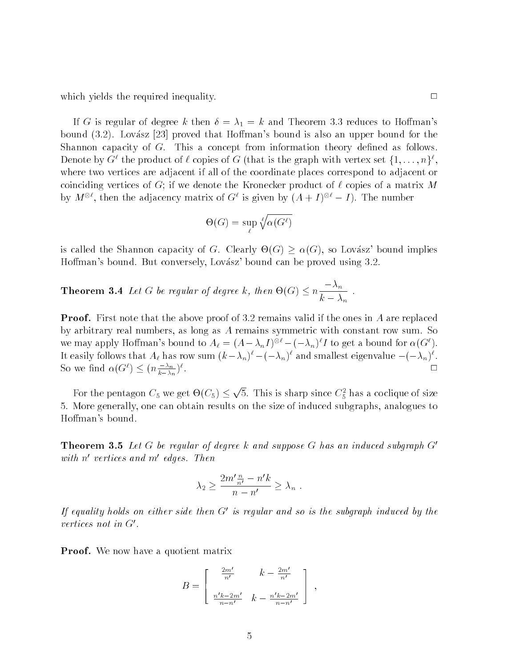which yields the required inequality.  $\Box$ 

If G is regular of degree k then  $\delta = \lambda_1 = k$  and Theorem 3.3 reduces to Hoffman's bound  $(3.2)$ . Lovász [23] proved that Hoffman's bound is also an upper bound for the Shannon capacity of  $G$ . This a concept from information theory defined as follows. Denote by G  $^+$  the product of  $\ell$  copies of G (that is the graph with vertex set  $\{1, \ldots, n\}^+$ , where two vertices are adjacent if all of the coordinate places correspond to adjacent or coinciding vertices of G; if we denote the Kronecker product of  $\ell$  copies of a matrix M by  $M^{\circ}$ , then the adjacency matrix of G is given by  $(A + I)^{\circ} = I$ ). The number

$$
\Theta(G) = \sup_{\ell} \sqrt[\ell]{\alpha(G^{\ell})}
$$

is called the Shannon capacity of G. Clearly  $\Theta(G) \geq \alpha(G)$ , so Lovász' bound implies Hoffman's bound. But conversely, Lovász' bound can be proved using 3.2.

**Theorem 3.4** Let G be regular of degree k, then  $\Theta(G) \leq n \frac{m}{\epsilon}$ .  $\cdots$  in  $n$ 

**Proof.** First note that the above proof of 3.2 remains valid if the ones in A are replaced by arbitrary real numbers, as long as <sup>A</sup> remains symmetric with constant row sum. So we may apply Hoffman's bound to  $A_\ell = (A - \lambda_n I)^{\otimes \ell} - (-\lambda_n)^\ell I$  to get a bound for  $\alpha(G^\ell)$ . It easily follows that  $A_\ell$  has row sum  $(\kappa - \lambda_n)^\top - (-\lambda_n)^\top$  and smallest eigenvalue  $-(-\lambda_n)^\top$ .  $\Box$ So we find  $\alpha((\tau)) \leq (n + \frac{m}{2})^{\gamma}$ .  $\overline{k-\lambda_n}$ ).

For the pentagon  $C_5$  we get  $\Theta(C_5) \leq \sqrt{5}$ . This is sharp since  $C_5^2$  has a coclique of size 5. More generally, one can obtain results on the size of induced subgraphs, analogues to Hoffman's bound.

**Theorem 3.5** Let G be regular of degree k and suppose G has an induced subgraph  $G'$ with novertices and models. Inen

$$
\lambda_2 \ge \frac{2m'\frac{n}{n'}-n'k}{n-n'} \ge \lambda_n .
$$

If equality holds on either side then  $G'$  is regular and so is the subgraph induced by the vertices not in  $G'$ .

Proof. We now have a quotient matrix

$$
B = \begin{bmatrix} \frac{2m'}{n'} & k - \frac{2m'}{n'}\\ \frac{n'k - 2m'}{n - n'} & k - \frac{n'k - 2m'}{n - n'} \end{bmatrix},
$$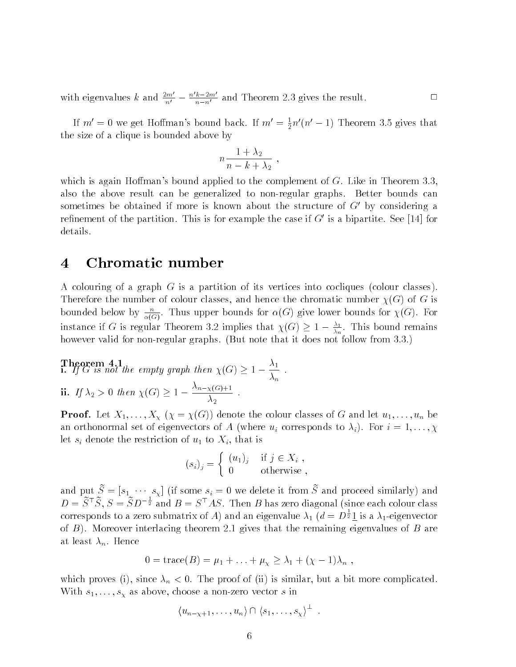with eigenvalues k and  $\frac{2m}{n'} - \frac{n \kappa - 2m}{n-n'}$  and Theorem 2.3 gives the result.

If  $m' = 0$  we get Hoffman's bound back. If  $m' = \frac{1}{2} n' (n' - 1)$  Theorem 3.5 gives that the size of a clique is bounded above by

$$
n\frac{1+\lambda_2}{n-k+\lambda_2} ,
$$

which is again Hoffman's bound applied to the complement of  $G$ . Like in Theorem 3.3, also the above result can be generalized to non-regular graphs. Better bounds can sometimes be obtained if more is known about the structure of  $G'$  by considering a refinement of the partition. This is for example the case if  $G'$  is a bipartite. See [14] for details.

## <sup>4</sup> Chromatic number

<sup>A</sup> colouring of a graph <sup>G</sup> is a partition of its vertices into cocliques (colour classes). Therefore the number of colour classes, and hence the chromatic number  $\chi(G)$  of G is bounded below by  $\frac{1}{\sqrt{2}}$ .  $\alpha(G)$ . Thus upper bounds for  $\alpha(G)$  give lower bounds for  $\lambda(G)$ . For instance if G is regular 1 heorem 3.2 implies that  $\gamma(G) \geq 1 - \frac{1}{\gamma+1}$ . This bound remains n however valid for non-regular graphs. (But note that it does not follow from 3.3.)

**Theorem 4.1**  
\n**i.** If 
$$
G
$$
 is not the empty graph then  $\chi(G) \geq 1 - \frac{\lambda_1}{\lambda_n}$ .  
\n**ii.** If  $\lambda_2 > 0$  then  $\chi(G) \geq 1 - \frac{\lambda_{n-\chi(G)+1}}{\lambda_2}$ .

**Proof.** Let  $X_1, \ldots, X_{\chi}$   $(\chi = \chi(G))$  denote the colour classes of G and let  $u_1, \ldots, u_n$  be an orthonormal set of eigenvectors of A (where  $u_i$  corresponds to  $\lambda_i$ ). For  $i = 1, \ldots, \chi$ let  $s_i$  denote the restriction of  $u_1$  to  $X_i$ , that is

$$
(s_i)_j = \begin{cases} (u_1)_j & \text{if } j \in X_i, \\ 0 & \text{otherwise} \end{cases}
$$

and put  $\tilde{S} = [s_1 \cdots s_\chi]$  (if some  $s_i = 0$  we delete it from  $\tilde{S}$  and proceed similarly) and  $D = S^{\perp} S$ ,  $S = S D^{-\frac{1}{2}}$  and  $B = S^{\perp} A S$ . Then B has zero diagonal (since each colour class corresponds to a zero submatrix of A) and an eigenvalue  $\lambda_1$   $(d = D^{\frac{1}{2}}1$  is a  $\lambda_1$ -eigenvector of  $B$ ). Moreover interlacing theorem 2.1 gives that the remaining eigenvalues of  $B$  are at least  $\lambda_n$ . Hence

$$
0 = \operatorname{trace}(B) = \mu_1 + \ldots + \mu_\chi \geq \lambda_1 + (\chi - 1)\lambda_n ,
$$

which proves (i), since  $\lambda_n < 0$ . The proof of (ii) is similar, but a bit more complicated. With  $s_1, \ldots, s_\chi$  as above, choose a non-zero vector s in

$$
\langle u_{n-\chi+1},\ldots,u_n\rangle\cap\langle s_1,\ldots,s_\chi\rangle^{\perp} .
$$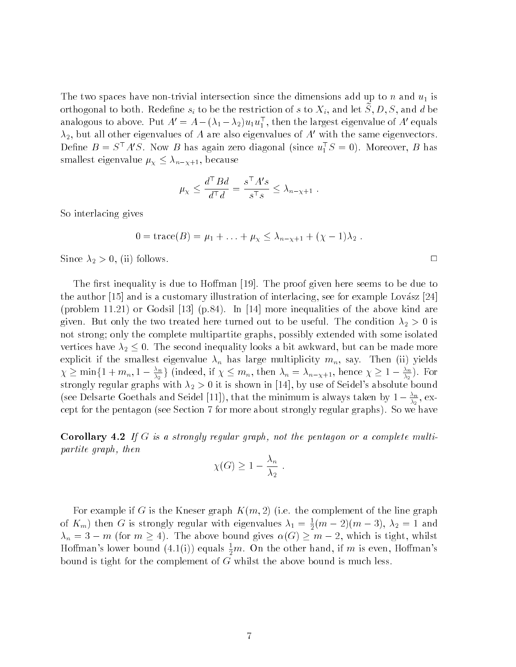The two spaces have non-trivial intersection since the dimensions add up to n and  $u_1$  is orthogonal to both. Redefine  $s_i$  to be the restriction of s to  $X_i$ , and let  $S, D, S$ , and d be analogous to above. Put  $A^1 = A - (A_1 - A_2)u_1u_1$  , then the largest eigenvalue of  $A^1$  equals  $\lambda_2$ , but all other eigenvalues of A are also eigenvalues of A' with the same eigenvectors. Define  $D = S^* A S$ . Now B has again zero diagonal (since  $u_1^* S = 0$ ). Moreover, B has smallest eigenvalue  $\mu_{\chi} \leq \lambda_{n-\chi+1}$ , because

$$
\mu_{\chi} \le \frac{d^{\top} B d}{d^{\top} d} = \frac{s^{\top} A's}{s^{\top} s} \le \lambda_{n - \chi + 1} .
$$

So interlacing gives

$$
0 = \text{trace}(B) = \mu_1 + \ldots + \mu_{\chi} \leq \lambda_{n - \chi + 1} + (\chi - 1)\lambda_2
$$
.

Since  $\lambda_2 > 0$ , (ii) follows.

The first inequality is due to Hoffman [19]. The proof given here seems to be due to the author [15] and is a customary illustration of interlacing, see for example Lovász [24] (problem 11.21) or Godsil [13] (p.84). In [14] more inequalities of the above kind are given. But only the two treated here turned out to be useful. The condition  $\lambda_2 > 0$  is not strong; only the complete multipartite graphs, possibly extended with some isolated vertices have  $\lambda_2 \leq 0$ . The second inequality looks a bit awkward, but can be made more explicit if the smallest eigenvalue  $\lambda_n$  has large multiplicity  $m_n$ , say. Then (ii) yields  $\chi \geq \min\{1 + m_n, 1 - \frac{\lambda_n}{\lambda_2}\}\$  (indeed, if  $\chi \leq m_n$ , then  $\lambda_n = \lambda_{n-\chi+1}$ , hence  $\chi \geq 1 - \frac{\lambda_n}{\lambda_2}$ ). For strongly regular graphs with  $\lambda_2 > 0$  it is shown in [14], by use of Seidel's absolute bound (see Delsarte Goethals and Seidel [11]), that the minimum is always taken by  $1-\frac{\pi}{\lambda_2},$  except for the pentagon (see Section 7 for more about strongly regular graphs). So we have

**Corollary 4.2** If G is a strongly regular graph, not the pentagon or a complete multipartite graph, then

$$
\chi(G) \ge 1 - \frac{\lambda_n}{\lambda_2} .
$$

For example if G is the Kneser graph  $K(m, 2)$  (i.e. the complement of the line graph of  $K_m$ ) then G is strongly regular with eigenvalues  $\lambda_1 = \frac{1}{2}(m-2)(m-3)$ ,  $\lambda_2 = 1$  and  $\lambda_n = 3 - m$  (for  $m \ge 4$ ). The above bound gives  $\alpha(G) \ge m - 2$ , which is tight, whilst Hoffman's lower bound  $(4.1(\text{i}))$  equals  $\frac{1}{2}m$ . On the other hand, if  $m$  is even, Hoffman's bound is tight for the complement of  $G$  whilst the above bound is much less.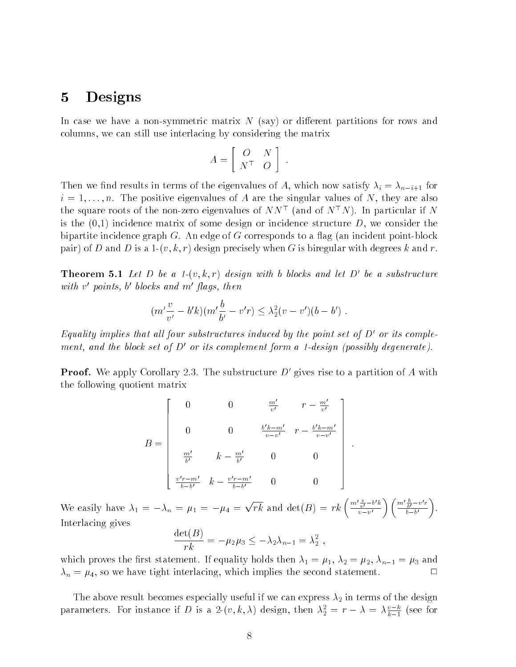# <sup>5</sup> Designs

In case we have a non-symmetric matrix  $N$  (say) or different partitions for rows and columns, we can still use interlacing by considering the matrix

$$
A = \left[ \begin{array}{cc} O & N \\ N^{\top} & O \end{array} \right] .
$$

Then we find results in terms of the eigenvalues of A, which now satisfy  $\lambda_i = \lambda_{n-i+1}$  for  $i = 1, \ldots, n$ . The positive eigenvalues of A are the singular values of N, they are also the square roots of the non-zero eigenvalues of  $NN^{\top}$  (and of  $N^{\top}N$ ). In particular if N is the  $(0,1)$  incidence matrix of some design or incidence structure D, we consider the bipartite incidence graph  $G$ . An edge of  $G$  corresponds to a flag (an incident point-block pair) of D and D is a 1- $(v, k, r)$  design precisely when G is biregular with degrees k and r.

**Theorem 5.1** Let D be a 1- $(v, k, r)$  design with b blocks and let D' be a substructure with v points, o otocks and monags, then

$$
(m'\frac{v}{v'}-b'k)(m'\frac{b}{b'}-v'r)\leq \lambda_2^2(v-v')(b-b') .
$$

Equality implies that all four substructures induced by the point set of  $D'$  or its complement, and the block set of  $D'$  or its complement form a 1-design (possibly degenerate).

**Proof.** We apply Corollary 2.3. The substructure  $D'$  gives rise to a partition of A with the following quotient matrix

$$
B = \begin{bmatrix} 0 & 0 & \frac{m'}{v'} & r - \frac{m'}{v'} \\ 0 & 0 & \frac{b'k - m'}{v - v'} & r - \frac{b'k - m'}{v - v'} \\ \frac{m'}{b'} & k - \frac{m'}{b'} & 0 & 0 \\ \frac{v'r - m'}{b - b'} & k - \frac{v'r - m'}{b - b'} & 0 & 0 \end{bmatrix}.
$$

We easily have  $\lambda_1 = -\lambda_n = \mu_1 = -\mu_4 = \sqrt{rk}$  and  $\det(B) = rk \left( \frac{m'v}{m} - b'k \right)$  $\left\langle m'\frac{b}{b'}-v'r\right\rangle$  $\mathcal{L}$  and the contract of  $\mathcal{L}$  $v-v$  $0 - 0$ Interlacing gives  $(D)$ 

$$
\frac{\det(B)}{rk} = -\mu_2 \mu_3 \leq -\lambda_2 \lambda_{n-1} = \lambda_2^2,
$$

which proves the first statement. If equality holds then  $\lambda_1 = \mu_1, \lambda_2 = \mu_2, \lambda_{n-1} = \mu_3$  and  $\lambda_n = \mu_4$ , so we have tight interlacing, which implies the second statement.

The above result becomes especially useful if we can express  $\lambda_2$  in terms of the design parameters. For instance if D is a 2- $(v, \kappa, \lambda)$  design, then  $\lambda_2^2 = r - \lambda = \lambda \frac{1}{k-1}$  (see for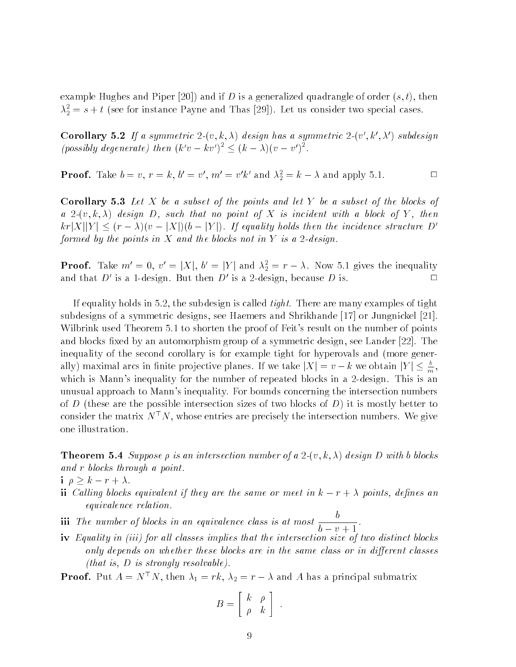example Hughes and Piper [20]) and if D is a generalized quadrangle of order  $(s, t)$ , then  $\lambda_2^2 = s + t$  (see for instance Payne and Thas [29]). Let us consider two special cases.

Corollary 5.2 If a symmetric 2-00, k,  $\lambda$ ) design has a symmetric 2-00, k,  $\lambda$ ) subdesign (possibly degenerate) then  $(k'v - kv')^2 \leq (k - \lambda)(v - v')^2$ .

**Proof.** Take  $0 = v, r = k, 0 = v, m = v k$  and  $\lambda_2 = k - \lambda$  and apply 5.1.

**Corollary 5.3** Let  $X$  be a subset of the points and let  $Y$  be a subset of the blocks of a  $2-(v, k, \lambda)$  design D, such that no point of X is incident with a block of Y, then  $\|kr|X\|Y\| \leq (r - \lambda)(v - |X|)(b - |Y|)$ . If equality holds then the incidence structure D' formed by the points in  $X$  and the blocks not in  $Y$  is a 2-design.

**Proof.** Lake  $m = 0, v = |X|, o = |Y|$  and  $\lambda_2 = r - \lambda$ . Now 5.1 gives the inequality and that  $D'$  is a 1-design. But then  $D'$  is a 2-design, because D is.

If equality holds in 5.2, the subdesign is called *tight*. There are many examples of tight subdesigns of a symmetric designs, see Haemers and Shrikhande [17] or Jungnickel [21]. Wilbrink used Theorem 5.1 to shorten the proof of Feit's result on the number of points and blocks fixed by an automorphism group of a symmetric design, see Lander  $[22]$ . The inequality of the second corollary is for example tight for hyperovals and (more generally) maximal arcs in finite projective planes. If we take  $|A| = v - k$  we obtain  $|Y| \leq \frac{1}{m},$ which is Mann's inequality for the number of repeated blocks in a 2-design. This is an unusual approach to Mann's inequality. For bounds concerning the intersection numbers of D (these are the possible intersection sizes of two blocks of D) it is mostly better to consider the matrix  $N^TN$ , whose entries are precisely the intersection numbers. We give one illustration.

**Theorem 5.4** Suppose  $\rho$  is an intersection number of a 2- $(v, k, \lambda)$  design D with b blocks and <sup>r</sup> blocks through a point.

$$
i \ \rho \geq k - r + \lambda.
$$

- ii Calling blocks equivalent if they are the same or meet in  $k r + \lambda$  points, defines an equivalence relation.
- iii The number of blocks in an equivalence class is at most  $\frac{1}{1}$  $b-v+1$
- iv Equality in (iii) for all classes implies that the intersection size of two distinct blocks only depends on whether these blocks are in the same class or in different classes (that is,  $D$  is strongly resolvable).

**Proof.** Put  $A = N^{\top}N$ , then  $\lambda_1 = rk$ ,  $\lambda_2 = r - \lambda$  and A has a principal submatrix

$$
B = \left[ \begin{array}{cc} k & \rho \\ \rho & k \end{array} \right] .
$$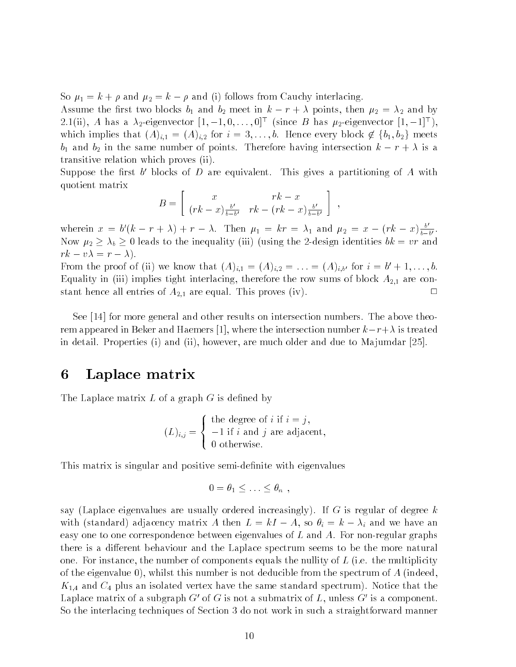So  $\mu_1 = k + \rho$  and  $\mu_2 = k - \rho$  and (i) follows from Cauchy interlacing.

Assume the first two blocks  $b_1$  and  $b_2$  meet in  $k - r + \lambda$  points, then  $\mu_2 = \lambda_2$  and by 2.1(ii), A has a  $\lambda_2$ -eigenvector  $[1, -1, 0, \ldots, 0]^T$  (since B has  $\mu_2$ -eigenvector  $[1, -1]^T$ ), which implies that  $(A)_{i,1} = (A)_{i,2}$  for  $i = 3, \ldots, b$ . Hence every block  $\notin \{b_1, b_2\}$  meets  $b_1$  and  $b_2$  in the same number of points. Therefore having intersection  $k - r + \lambda$  is a transitive relation which proves (ii).

Suppose the first  $\theta$  plocks of  $D$  are equivalent. This gives a partitioning of  $A$  with quotient matrix

$$
B = \left[ \begin{array}{cc} x & rk - x \\ (rk - x) \frac{b'}{b - b'} & rk - (rk - x) \frac{b'}{b - b'} \end{array} \right] ,
$$

wherein  $x = b'(k - r + \lambda) + r - \lambda$ . Then  $\mu_1 = kr = \lambda_1$  and  $\mu_2 = x - (rk - x) \frac{b}{k - k}$ . 0 .  $\alpha$   $\alpha$   $\beta$   $\beta$   $\beta$  is the inequality (iii) (which inequality integrated bk  $\alpha$  value  $rk - v\lambda = r - \lambda$ .

**From the proof of (ii) we know that**  $(A)_{i,1} = (A)_{i,2} = \ldots = (A)_{i,b'}$  **for**  $i = 0 + 1, \ldots, b$ **.** Equality in (iii) implies tight interlacing, therefore the row sums of block  $A_{2,1}$  are constant hence all entries of  $A_{2,1}$  are equal. This proves (iv).

See [14] for more general and other results on intersection numbers. The above theorem appeared in Beker and Haemers [1], where the intersection number  $k-r+\lambda$  is treated in detail. Properties (i) and (ii), however, are much older and due to Majumdar  $[25]$ .

# <sup>6</sup> Laplace matrix

The Laplace matrix  $L$  of a graph  $G$  is defined by

$$
(L)_{i,j} = \begin{cases} \text{the degree of } i \text{ if } i = j, \\ -1 \text{ if } i \text{ and } j \text{ are adjacent,} \\ 0 \text{ otherwise.} \end{cases}
$$

This matrix is singular and positive semi-definite with eigenvalues

$$
0 = \theta_1 \leq \ldots \leq \theta_n ,
$$

say (Laplace eigenvalues are usually ordered increasingly). If G is regular of degree  $k$ with (standard) adjacency matrix A then  $L = kI - A$ , so  $\theta_i = k - \lambda_i$  and we have an easy one to one correspondence between eigenvalues of  $L$  and  $A$ . For non-regular graphs there is a different behaviour and the Laplace spectrum seems to be the more natural one. For instance, the number of components equals the nullity of  $L$  (i.e. the multiplicity of the eigenvalue 0), whilst this number is not deducible from the spectrum of  $A$  (indeed,  $K_{1,4}$  and  $C_4$  plus an isolated vertex have the same standard spectrum). Notice that the Laplace matrix of a subgraph  $G'$  of G is not a submatrix of L, unless  $G'$  is a component. So the interlacing techniques of Section 3 do not work in such a straightforward manner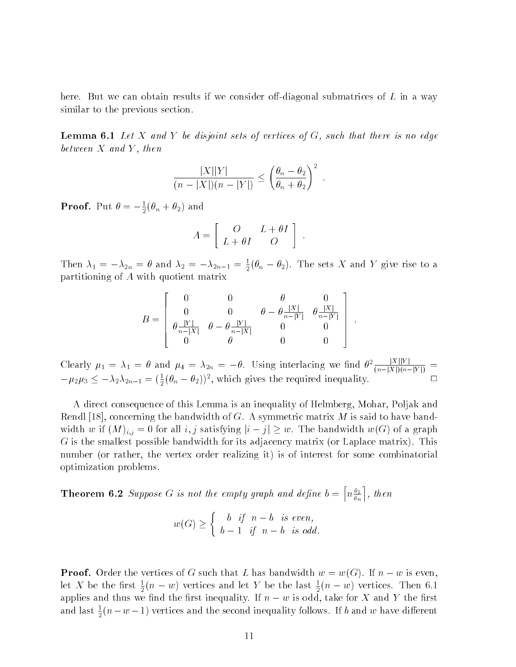here. But we can obtain results if we consider off-diagonal submatrices of  $L$  in a way similar to the previous section.

**Lemma 6.1** Let X and Y be disjoint sets of vertices of G, such that there is no edge between  $X$  and  $Y$ , then

$$
\frac{|X||Y|}{(n-|X|)(n-|Y|)} \le \left(\frac{\theta_n-\theta_2}{\theta_n+\theta_2}\right)^2.
$$

**Proof.** Put  $\theta = -\frac{1}{2}(\theta_n + \theta_2)$  and

$$
A = \left[ \begin{array}{cc} O & L + \theta I \\ L + \theta I & O \end{array} \right] .
$$

Then  $\lambda_1 = -\lambda_{2n} = v$  and  $\lambda_2 = -\lambda_{2n-1} = \frac{1}{2}(v_n - v_2)$ . The sets  $\Lambda$  and  $\Lambda$  give rise to a partitioning of <sup>A</sup> with quotient matrix

$$
B = \left[ \begin{array}{cccc} 0 & 0 & \theta & 0 \\ 0 & 0 & \theta - \theta \frac{|X|}{n - |Y|} & \theta \frac{|X|}{n - |Y|} \\ \theta \frac{|Y|}{n - |X|} & \theta - \theta \frac{|Y|}{n - |X|} & 0 & 0 \\ 0 & \theta & 0 & 0 \end{array} \right] \ .
$$

:

n man and the contract of the contract of

Clearly  $\mu_1 = \lambda_1 = \theta$  and  $\mu_4 = \lambda_{2n} = -\theta$ . Using interlacing we find  $\theta^2 \frac{|\mathcal{L}_1||\mathcal{L}_2|}{(n-|X|)(n-|Y|)}$  $\Box$  $-\mu_2\mu_3 \leq -\lambda_2\lambda_{2n-1} = (\frac{1}{2}(\theta_n - \theta_2))^2$ , which gives the required inequality.

A direct consequence of this Lemma is an inequality of Helmberg, Mohar, Poljak and Rendl [18], concerning the bandwidth of G. A symmetric matrix  $M$  is said to have bandwidth w if  $(M)_{i,j} = 0$  for all i, j satisfying  $|i-j| \geq w$ . The bandwidth  $w(G)$  of a graph <sup>G</sup> is the smallest possible bandwidth for its adjacency matrix (or Laplace matrix). This number (or rather, the vertex order realizing it) is of interest for some combinatorial optimization problems.

**Theorem 6.2** Suppose G is not the empty graph and define  $b = \left[ n^{\frac{\theta_2}{\alpha}} \right]$ . ,  $\cdots$  then the then the then the theorem

$$
w(G) \ge \begin{cases} b & \text{if } n-b \text{ is even,} \\ b-1 & \text{if } n-b \text{ is odd.} \end{cases}
$$

**Proof.** Order the vertices of G such that L has bandwidth  $w = w(G)$ . If  $n - w$  is even, let  $\Lambda$  be the first  $\frac{1}{2}(n-w)$  vertices and let Y be the last  $\frac{1}{2}(n-w)$  vertices. Then 6.1 applies and thus we find the first inequality. If  $n-w$  is odd, take for X and Y the first and last  $\frac{1}{2}(n-w-1)$  vertices and the second inequality follows. If  $b$  and  $w$  have different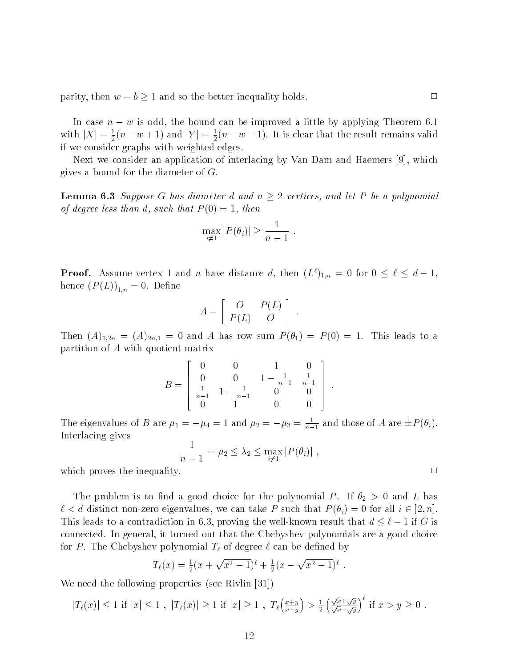parity, then  $w - b \ge 1$  and so the better inequality holds.

In case  $n - w$  is odd, the bound can be improved a little by applying Theorem 6.1 with  $|\Lambda| = \frac{1}{2}(n - w + 1)$  and  $|Y| = \frac{1}{2}(n - w - 1)$ . It is clear that the result remains valid if we consider graphs with weighted edges.

Next we consider an application of interlacing by Van Dam and Haemers [9], which gives a bound for the diameter of G.

**Lemma 6.3** Suppose G has diameter d and  $n \geq 2$  vertices, and let P be a polynomial of degree less than d, such that  $P(0) = 1$ , then

$$
\max_{i \neq 1} |P(\theta_i)| \geq \frac{1}{n-1} .
$$

**Proof.** Assume vertex 1 and n have distance a, then  $(L^{\dagger})_{1,n} = 0$  for  $0 \leq \ell \leq a-1$ , hence  $(P(L))_{1,n} = 0$ . Define

$$
A = \left[ \begin{array}{cc} O & P(L) \\ P(L) & O \end{array} \right] .
$$

Then  $(A)_{1,2n} = (A)_{2n,1} = 0$  and A has row sum  $P(\theta_1) = P(0) = 1$ . This leads to a partition of <sup>A</sup> with quotient matrix

$$
B = \begin{bmatrix} 0 & 0 & 1 & 0 \\ 0 & 0 & 1 - \frac{1}{n-1} & \frac{1}{n-1} \\ \frac{1}{n-1} & 1 - \frac{1}{n-1} & 0 & 0 \\ 0 & 1 & 0 & 0 \end{bmatrix}.
$$

The eigenvalues of B are  $\mu_1 = -\mu_4 = 1$  and  $\mu_2 = -\mu_3 = \frac{1}{n-1}$  and those of A are  $\pm P(\theta_i)$ . Interlacing gives

$$
\frac{1}{n-1} = \mu_2 \leq \lambda_2 \leq \max_{i \neq 1} |P(\theta_i)|,
$$

which proves the inequality.  $\Box$ 

The problem is to find a good choice for the polynomial P. If  $\theta_2 > 0$  and L has  $\ell < d$  distinct non-zero eigenvalues, we can take P such that  $P(\theta_i) = 0$  for all  $i \in [2, n]$ . This leads to a contradiction in 6.3, proving the well-known result that  $d \leq \ell - 1$  if G is connected. In general, it turned out that the Chebyshev polynomials are a good choice for P. The Chebyshev polynomial  $T_{\ell}$  of degree  $\ell$  can be defined by

$$
T_{\ell}(x) = \frac{1}{2}(x + \sqrt{x^2 - 1})^{\ell} + \frac{1}{2}(x - \sqrt{x^2 - 1})^{\ell}.
$$

:

We need the following properties (see Rivlin [31])

$$
|T_{\ell}(x)| \le 1 \text{ if } |x| \le 1 , |T_{\ell}(x)| \ge 1 \text{ if } |x| \ge 1 , T_{\ell} \left( \frac{x+y}{x-y} \right) > \frac{1}{2} \left( \frac{\sqrt{x} + \sqrt{y}}{\sqrt{x} - \sqrt{y}} \right)^{\ell} \text{ if } x > y \ge 0 .
$$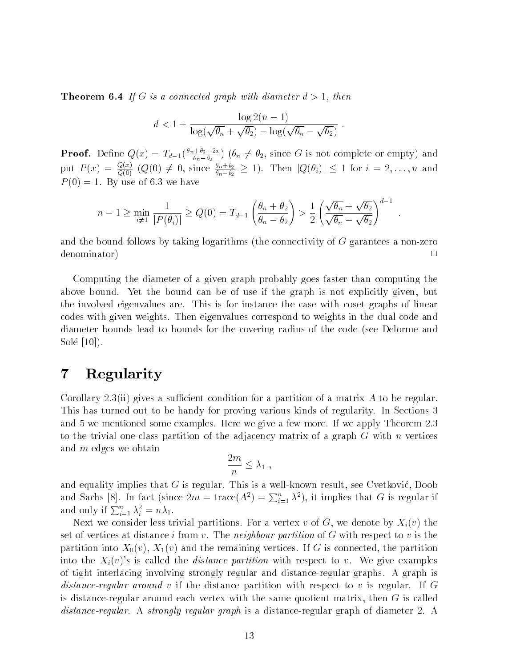**Theorem 6.4** If G is a connected graph with diameter  $d > 1$ , then

$$
d < 1 + \frac{\log 2(n-1)}{\log(\sqrt{\theta_n} + \sqrt{\theta_2}) - \log(\sqrt{\theta_n} - \sqrt{\theta_2})}.
$$

**Proof.** Define  $Q(x) = I_{d-1}(\frac{x_1-x_2}{\theta_n-\theta_2})$  ( $\theta_n \neq \theta_2$ , since G is not complete or empty) and put  $P(x) = \frac{y-2}{Q(0)}$   $(Q(0) \neq 0,$  since  $\frac{\partial n+2}{\partial n-\theta_2} \geq 1$ . Then  $|Q(\theta_i)| \leq 1$  for  $i = 2,\ldots,n$  and  $P(0) = 1$ . By use of 6.3 we have

$$
n-1 \geq \min_{i \neq 1} \frac{1}{|P(\theta_i)|} \geq Q(0) = T_{d-1}\left(\frac{\theta_n + \theta_2}{\theta_n - \theta_2}\right) > \frac{1}{2}\left(\frac{\sqrt{\theta_n} + \sqrt{\theta_2}}{\sqrt{\theta_n} - \sqrt{\theta_2}}\right)^{d-1}.
$$

and the bound follows by taking logarithms (the connectivity of  $G$  garantees a non-zero denominator) <sup>2</sup>  $\Box$ 

Computing the diameter of a given graph probably goes faster than computing the above bound. Yet the bound can be of use if the graph is not explicitly given, but the involved eigenvalues are. This is for instance the case with coset graphs of linear codes with given weights. Then eigenvalues correspond to weights in the dual code and diameter bounds lead to bounds for the covering radius of the code (see Delorme and Sole [10]).

# <sup>7</sup> Regularity

Corollary 2.3(ii) gives a sufficient condition for a partition of a matrix A to be regular. This has turned out to be handy for proving various kinds of regularity. In Sections 3 and 5 we mentioned some examples. Here we give a few more. If we apply Theorem 2.3 to the trivial one-class partition of the adjacency matrix of a graph  $G$  with n vertices and <sup>m</sup> edges we obtain

$$
\frac{2m}{n} \leq \lambda_1 ,
$$

and equality implies that  $G$  is regular. This is a well-known result, see Cvetković, Doob and Sachs [8]. In fact (since  $2m = \text{trace}(A^2) = \sum_{i=1}^n \lambda^2$ ), it implies that G is regular if and only if  $\sum_{i=1}^n \lambda_i^2 = n\lambda_1$ .

Next we consider less trivial partitions. For a vertex v of G, we denote by  $X_i(v)$  the set of vertices at distance i from v. The neighbour partition of  $G$  with respect to v is the partition into  $X_0(v)$ ,  $X_1(v)$  and the remaining vertices. If G is connected, the partition into the  $X_i(v)$ 's is called the *distance partition* with respect to v. We give examples of tight interlacing involving strongly regular and distance-regular graphs. A graph is distance-regular around v if the distance partition with respect to v is regular. If G is distance-regular around each vertex with the same quotient matrix, then  $G$  is called distance-regular. A strongly regular graph is a distance-regular graph of diameter 2. A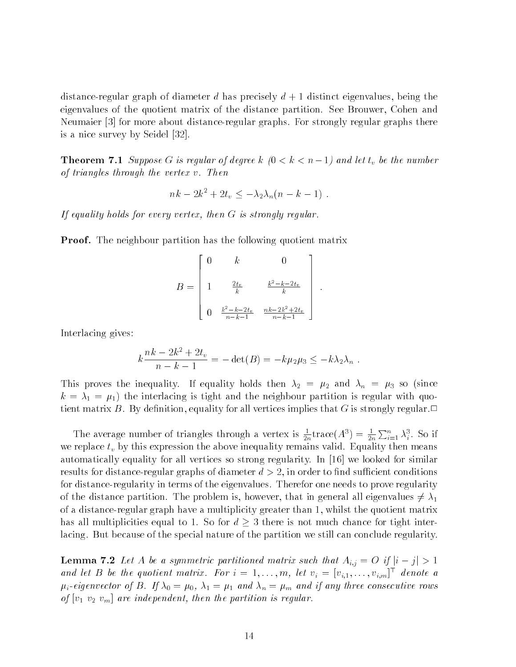distance-regular graph of diameter d has precisely  $d+1$  distinct eigenvalues, being the eigenvalues of the quotient matrix of the distance partition. See Brouwer, Cohen and Neumaier [3] for more about distance-regular graphs. For strongly regular graphs there is a nice survey by Seidel [32].

**Theorem 7.1** Suppose G is regular of degree k  $(0 < k < n-1)$  and let  $t_v$  be the number of triangles through the vertex v. Then

$$
nk - 2k^2 + 2t_v \leq -\lambda_2 \lambda_n (n - k - 1) .
$$

If equality holds for every vertex, then <sup>G</sup> is strongly regular.

**Proof.** The neighbour partition has the following quotient matrix

$$
B = \begin{bmatrix} 0 & k & 0 \\ & & & \\ 1 & \frac{2t_v}{k} & \frac{k^2 - k - 2t_v}{k} \\ & & & \\ 0 & \frac{k^2 - k - 2t_v}{n - k - 1} & \frac{nk - 2k^2 + 2t_v}{n - k - 1} \end{bmatrix}.
$$

Interlacing gives:

$$
k \frac{nk - 2k^2 + 2t_v}{n - k - 1} = -\det(B) = -k\mu_2 \mu_3 \leq -k\lambda_2 \lambda_n .
$$

This proves the inequality. If equality holds then  $\lambda_2 = \mu_2$  and  $\lambda_n = \mu_3$  so (since  $k = \lambda_1 = \mu_1$ ) the interlacing is tight and the neighbour partition is regular with quotient matrix B. By definition, equality for all vertices implies that G is strongly regular.

The average number of triangles through a vertex is  $\div$ tr  $\frac{1}{2n}$ trace $(A^3) = \frac{1}{2n} \sum_{i=1}^n \lambda_i^3$ . So if we replace  $t_v$  by this expression the above inequality remains valid. Equality then means automatically equality for all vertices so strong regularity. In [16] we looked for similar results for distance-regular graphs of diameter  $d > 2$ , in order to find sufficient conditions for distance-regularity in terms of the eigenvalues. Therefor one needs to prove regularity of the distance partition. The problem is, however, that in general all eigenvalues  $\neq \lambda_1$ of a distance-regular graph haveamultiplicity greater than 1, whilst the quotient matrix has all multiplicities equal to 1. So for  $d \geq 3$  there is not much chance for tight interlacing. But because of the special nature of the partition we still can conclude regularity.

**Lemma 7.2** Let A be a symmetric partitioned matrix such that  $A_{i,j} = O$  if  $|i - j| > 1$ and let B be the quotient matrix. For  $i = 1, \ldots, m$ , let  $v_i = [v_{i,1}, \ldots, v_{i,m}]^T$  denote a  $\mu_i$ -eigenvector of B. If  $\lambda_0 = \mu_0$ ,  $\lambda_1 = \mu_1$  and  $\lambda_n = \mu_m$  and if any three consecutive rows of  $[v_1\ v_2\ v_m]$  are independent, then the partition is regular.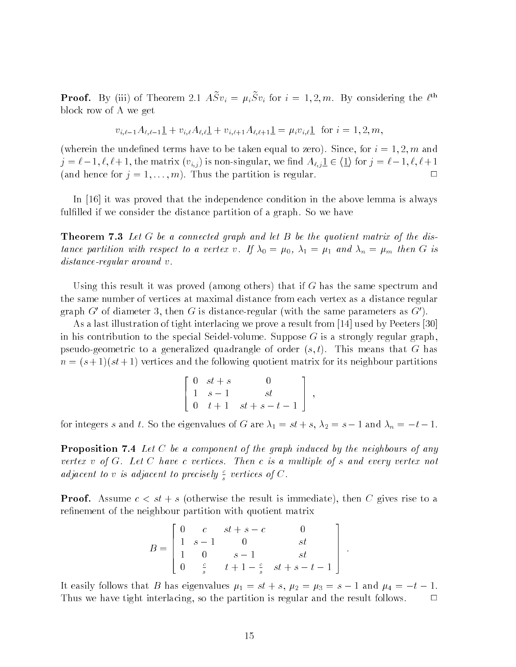**Proof.** By (iii) of Theorem 2.1  $A \mathcal{S} v_i = \mu_i \mathcal{S} v_i$  for  $i = 1, 2, m$ . By considering the  $\ell$ block row of A we get

$$
v_{i,\ell-1}A_{\ell,\ell-1} \underline{1} + v_{i,\ell}A_{\ell,\ell} \underline{1} + v_{i,\ell+1}A_{\ell,\ell+1} \underline{1} = \mu_i v_{i,\ell} \underline{1} \text{ for } i = 1,2,m,
$$

(wherein the undefined terms have to be taken equal to zero). Since, for  $i = 1, 2, m$  and  $j = \ell - 1, \ell, \ell + 1$ , the matrix  $(v_{i,j})$  is non-singular, we find  $A_{\ell,j} \le \langle 1 \rangle$  for  $j = \ell - 1, \ell, \ell + 1$ (and hence for  $j = 1, \ldots, m$ ). Thus the partition is regular.

In [16] it was proved that the independence condition in the above lemma is always fulfilled if we consider the distance partition of a graph. So we have

**Theorem 7.3** Let G be a connected graph and let B be the quotient matrix of the distance partition with respect to a vertex v. If  $\lambda_0 = \mu_0$ ,  $\lambda_1 = \mu_1$  and  $\lambda_n = \mu_m$  then G is distance-regular around v.

Using this result it was proved (among others) that if  $G$  has the same spectrum and the same number of vertices at maximal distance from each vertex as a distance regular graph  $G'$  of diameter 3, then G is distance-regular (with the same parameters as  $G'$ ).

As a last illustration of tight interlacing we prove a result from [14] used by Peeters [30] in his contribution to the special Seidel-volume. Suppose  $G$  is a strongly regular graph, pseudo-geometric to a generalized quadrangle of order  $(s, t)$ . This means that G has  $n = (s+1)(st+1)$  vertices and the following quotient matrix for its neighbour partitions

$$
\begin{bmatrix} 0 & st+s & 0 \\ 1 & s-1 & st \\ 0 & t+1 & st+s-t-1 \end{bmatrix},
$$

for integers s and t. So the eigenvalues of G are  $\lambda_1 = st + s$ ,  $\lambda_2 = s - 1$  and  $\lambda_n = -t - 1$ .

**Proposition 7.4** Let C be a component of the graph induced by the neighbours of any vertex <sup>v</sup> of G. Let <sup>C</sup> have <sup>c</sup> vertices. Then <sup>c</sup> is a multiple of <sup>s</sup> and every vertex not adjacent to v is adjacent to precisely  $\frac{c}{s}$  vertices of C.

**Proof.** Assume  $c < st + s$  (otherwise the result is immediate), then C gives rise to a refinement of the neighbour partition with quotient matrix

$$
B = \begin{bmatrix} 0 & c & st+s-c & 0 \\ 1 & s-1 & 0 & st \\ 1 & 0 & s-1 & st \\ 0 & \frac{c}{s} & t+1-\frac{c}{s} & st+s-t-1 \end{bmatrix}.
$$

It easily follows that B has eigenvalues  $\mu_1 = st + s$ ,  $\mu_2 = \mu_3 = s - 1$  and  $\mu_4 = -t - 1$ . Thus we have tight interlacing, so the partition is regular and the result follows.  $\Box$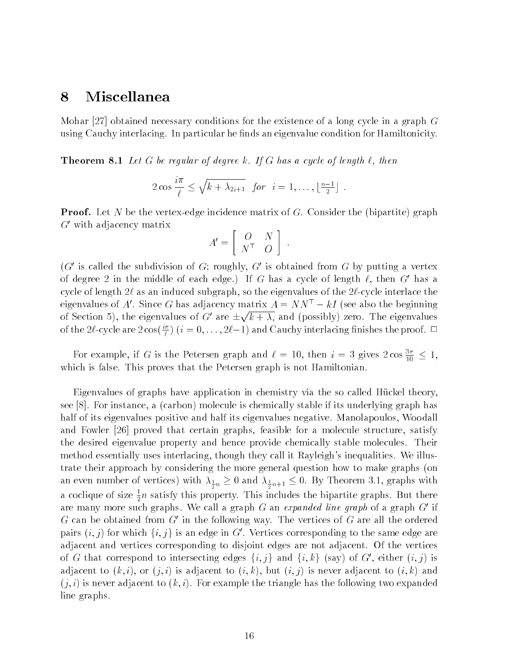#### <sup>8</sup> Miscellanea

Mohar [27] obtained necessary conditions for the existence of a long cycle in a graph  $G$ using Cauchy interlacing. In particular he finds an eigenvalue condition for Hamiltonicity.

**Theorem 8.1** Let G be regular of degree k. If G has a cycle of length  $\ell$ , then

$$
2 \cos \frac{i\pi}{\ell} \leq \sqrt{k + \lambda_{2i+1}} \quad \text{for} \quad i = 1, \dots, \lfloor \frac{n-1}{2} \rfloor \; .
$$

**Proof.** Let N be the vertex-edge incidence matrix of G. Consider the (bipartite) graph  $G'$  with adjacency matrix

$$
A' = \left[ \begin{array}{cc} O & N \\ N^{\top} & O \end{array} \right] .
$$

 $(G'$  is called the subdivision of G; roughly, G' is obtained from G by putting a vertex of degree 2 in the middle of each edge.) If G has a cycle of length  $\ell$ , then G' has a cycle of length  $2\ell$  as an induced subgraph, so the eigenvalues of the  $2\ell$ -cycle interlace the eigenvalues of  $A$  . Since G has adjacency matrix  $A = NN^+ - kI$  (see also the beginning of Section 5), the eigenvalues of G' are  $\pm\sqrt{k} + \lambda_i$  and (possibly) zero. The eigenvalues of the 2t-cycle are 2 cos(  $\frac{u}{l}$  ) ( $i=0,\ldots,$  2t $-1$  ) and Cauchy interlacing finishes the proof.  $\Box$ 

For example, if G is the Petersen graph and  $\ell = 10$ , then  $i = 3$  gives  $2 \cos \frac{2}{10} \leq 1$ , which is false. This proves that the Petersen graph is not Hamiltonian.

Eigenvalues of graphs have application in chemistry via the so called Huckel theory, see [8]. For instance, a (carbon) molecule is chemically stable if its underlying graph has half of its eigenvalues positive and half its eigenvalues negative. Manolapoulos, Woodall and Fowler [26] proved that certain graphs, feasible for a molecule structure, satisfy the desired eigenvalue property and hence provide chemically stable molecules. Their method essentially uses interlacing, though they call it Rayleigh's inequalities. We illustrate their approach by considering the more general question how to make graphs (on an even number of vertices) with  $\frac{1}{2}n = 0$  and  $\frac{1}{2}n+1 = 0.$  By Theorem 3.1,  $\frac{1}{2}n^2$  with a coclique of size  $\frac{1}{2}n$  satisfy this property. This includes the bipartite graphs. But there are many more such graphs. We call a graph G an expanded line graph of a graph  $G'$  if  $G$  can be obtained from  $G'$  in the following way. The vertices of  $G$  are all the ordered pairs  $(i, j)$  for which  $\{i, j\}$  is an edge in G'. Vertices corresponding to the same edge are adjacent and vertices corresponding to disjoint edges are not adjacent. Of the vertices of G that correspond to intersecting edges  $\{i, j\}$  and  $\{i, k\}$  (say) of G', either  $(i, j)$  is adjacent to  $(k, i)$ , or  $(j, i)$  is adjacent to  $(i, k)$ , but  $(i, j)$  is never adjacent to  $(i, k)$  and  $(j, i)$  is never adjacent to  $(k, i)$ . For example the triangle has the following two expanded line graphs.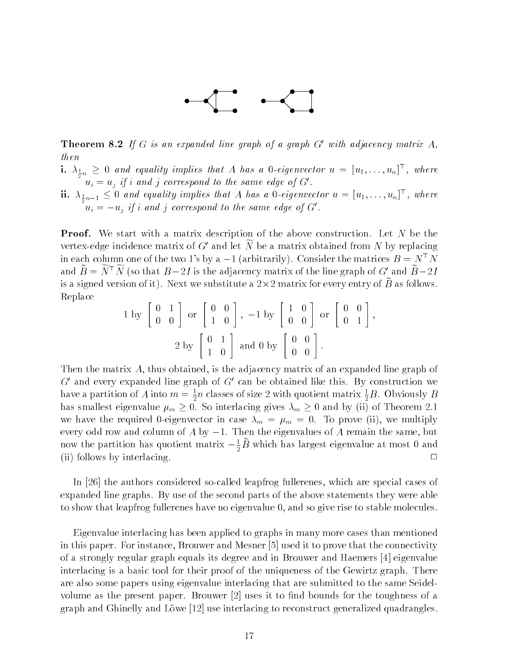

**Theorem 8.2** If G is an expanded line graph of a graph G' with adjacency matrix A, then

- $1.$   $\lambda_{\frac{1}{2}n} \geq 0$  and equality implies that A has a 0-eigenvector  $u \, = \, [u_1, \ldots, u_n]$  , where  $u_i = u_j$  if i and j correspond to the same edge of G'.
- ${\mathbf n} \cdot \| {\mathbf A}_{{1\over 2}n-1} \leq 0$  and equality implies that A has a 0-eigenvector  $u = [u_1, \ldots, u_n]$  , where  $u_i = -u_j$  if i and j correspond to the same edge of G'.

**Proof.** We start with a matrix description of the above construction. Let N be the vertex-edge incidence matrix of G' and let  $\widetilde{N}$  be a matrix obtained from N by replacing in each column one of the two 1's by a  $-1$  (arbitrarily). Consider the matrices  $B = N^{\top}N$ and  $\widetilde{B} = \widetilde{N}^{\top} \widetilde{N}$  (so that  $B - 2I$  is the adjacency matrix of the line graph of G' and  $\widetilde{B} - 2I$ is a signed version of it). Next we substitute a  $2 \times 2$  matrix for every entry of  $D$  as follows. Replace

$$
1 \text{ by } \begin{bmatrix} 0 & 1 \\ 0 & 0 \end{bmatrix} \text{ or } \begin{bmatrix} 0 & 0 \\ 1 & 0 \end{bmatrix}, -1 \text{ by } \begin{bmatrix} 1 & 0 \\ 0 & 0 \end{bmatrix} \text{ or } \begin{bmatrix} 0 & 0 \\ 0 & 1 \end{bmatrix},
$$

$$
2 \text{ by } \begin{bmatrix} 0 & 1 \\ 1 & 0 \end{bmatrix} \text{ and } 0 \text{ by } \begin{bmatrix} 0 & 0 \\ 0 & 0 \end{bmatrix}.
$$

Then the matrix A, thus obtained, is the adjacency matrix of an expanded line graph of  $G'$  and every expanded line graph of  $G'$  can be obtained like this. By construction we have a partition of A into  $m = \frac{1}{2}n$  classes of size 2 with quotient matrix  $\frac{1}{2}B$ . Obviously  $B$ has smallest eigenvalue  $\mu_m \geq 0$ . So interlacing gives  $\lambda_m \geq 0$  and by (ii) of Theorem 2.1 we have the required 0-eigenvector in case  $\lambda_m = \mu_m = 0$ . To prove (ii), we multiply every odd row and column of  $A$  by  $-1$ . Then the eigenvalues of  $A$  remain the same, but now the partition has quotient matrix  $-\frac{1}{2}B$  which has largest eigenvalue at most  $0$  and (ii) follows by interlacing.  $\Box$ 

In [26] the authors considered so-called leapfrog fullerenes, which are special cases of expanded line graphs. By use of the second parts of the above statements they were able to show that leapfrog fullerenes have no eigenvalue 0, and so give rise to stable molecules.

Eigenvalue interlacing has been applied to graphs in many more cases than mentioned in this paper. For instance, Brouwer and Mesner [5] used it to prove that the connectivity of a strongly regular graph equals its degree and in Brouwer and Haemers [4] eigenvalue interlacing is a basic tool for their proof of the uniqueness of the Gewirtz graph. There are also some papers using eigenvalue interlacing that are submitted to the same Seidelvolume as the present paper. Brouwer  $[2]$  uses it to find bounds for the toughness of a graph and Ghinelly and Lowe [12] use interlacing to reconstruct generalized quadrangles.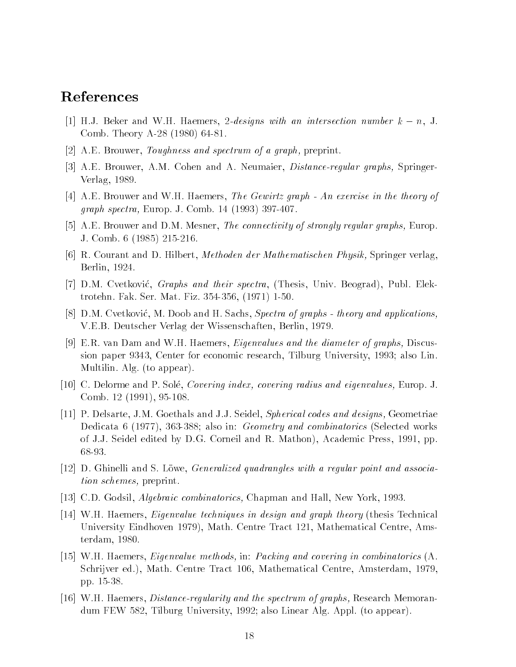# References

- [1] H.J. Beker and W.H. Haemers, 2-designs with an intersection number  $k n$ , J. Comb. Theory A-28 (1980) 64-81.
- [2] A.E. Brouwer, Toughness and spectrum of a graph, preprint.
- [3] A.E. Brouwer, A.M. Cohen and A. Neumaier, Distance-regular graphs, Springer-Verlag, 1989.
- [4] A.E. Brouwer and W.H. Haemers, The Gewirtz graph An exercise in the theory of graph spectra, Europ. J. Comb. 14 (1993) 397-407.
- [5] A.E. Brouwer and D.M. Mesner, *The connectivity of strongly regular graphs*, Europ. J. Comb. 6 (1985) 215-216.
- [6] R. Courant and D. Hilbert, Methoden der Mathematischen Physik, Springer verlag, Berlin, 1924.
- [7] D.M. Cvetković, Graphs and their spectra, (Thesis, Univ. Beograd), Publ. Elektrotehn. Fak. Ser. Mat. Fiz. 354-356, (1971) 1-50.
- [8]  $\rm D.M.$  Cvetković, M. Doob and H. Sachs, Spectra of graphs theory and applications, V.E.B. Deutscher Verlag der Wissenschaften, Berlin, 1979.
- [9] E.R. van Dam and W.H. Haemers, Eigenvalues and the diameter of graphs, Discussion paper 9343, Center for economic research, Tilburg University, 1993; also Lin. Multilin. Alg. (to appear).
- [10] C. Delorme and P. Sole, Covering index, covering radius and eigenvalues, Europ. J. Comb. 12 (1991), 95-108.
- [11] P. Delsarte, J.M. Goethals and J.J. Seidel, Spherical codes and designs, Geometriae Dedicata 6 (1977), 363-388; also in: *Geometry and combinatorics* (Selected works of J.J. Seidel edited by D.G. Corneil and R. Mathon), Academic Press, 1991, pp. 68-93.
- [12] D. Ghinelli and S. Lowe, Generalized quadrangles with a regular point and association schemes, preprint.
- [13] C.D. Godsil, *Algebraic combinatorics*, Chapman and Hall, New York, 1993.
- [14] W.H. Haemers, Eigenvalue techniques in design and graph theory (thesis Technical University Eindhoven 1979), Math. Centre Tract 121, Mathematical Centre, Amsterdam, 1980.
- [15] W.H. Haemers, Eigenvalue methods, in: Packing and covering in combinatorics (A. Schrijver ed.), Math. Centre Tract 106, Mathematical Centre, Amsterdam, 1979, pp. 15-38.
- [16] W.H. Haemers, *Distance-regularity and the spectrum of graphs*, Research Memorandum FEW 582, Tilburg University, 1992; also Linear Alg. Appl. (to appear).